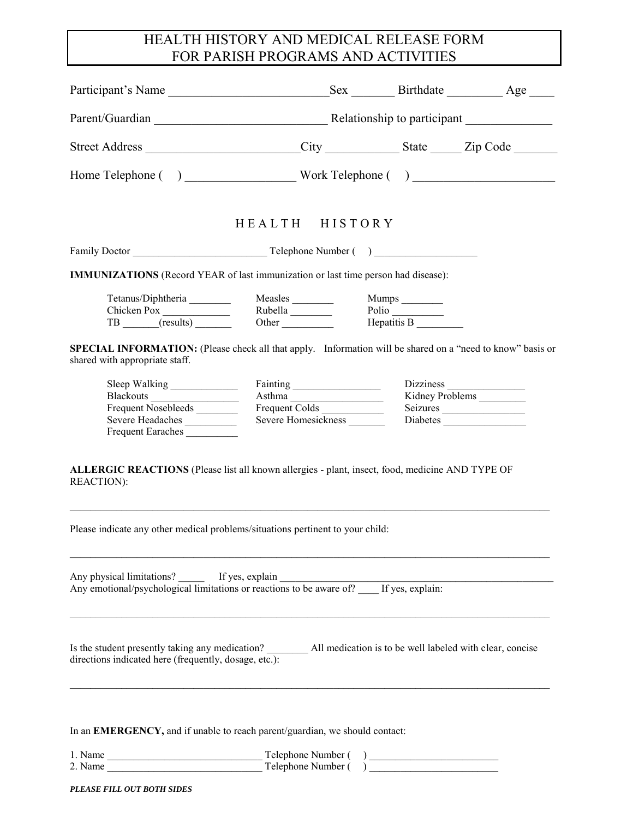## HEALTH HISTORY AND MEDICAL RELEASE FORM FOR PARISH PROGRAMS AND ACTIVITIES

|                                                                                                                                              | Parent/Guardian Relationship to participant Material Annual Relationship to participant |                      |                 |
|----------------------------------------------------------------------------------------------------------------------------------------------|-----------------------------------------------------------------------------------------|----------------------|-----------------|
| Street Address _________________________City _____________State ______Zip Code ________                                                      |                                                                                         |                      |                 |
|                                                                                                                                              |                                                                                         |                      |                 |
|                                                                                                                                              |                                                                                         |                      |                 |
|                                                                                                                                              | HEALTH HISTORY                                                                          |                      |                 |
|                                                                                                                                              |                                                                                         |                      |                 |
| <b>IMMUNIZATIONS</b> (Record YEAR of last immunization or last time person had disease):                                                     |                                                                                         |                      |                 |
|                                                                                                                                              |                                                                                         | Mumps ________       |                 |
| Tetanus/Diphtheria Measles<br>Chicken Pox<br>TB (results) Other                                                                              | Measles<br>Rubella<br>Other                                                             | Polio<br>Hepatitis B |                 |
|                                                                                                                                              |                                                                                         |                      |                 |
| SPECIAL INFORMATION: (Please check all that apply. Information will be shared on a "need to know" basis or<br>shared with appropriate staff. |                                                                                         |                      |                 |
| Sleep Walking                                                                                                                                |                                                                                         |                      |                 |
|                                                                                                                                              | Asthma                                                                                  |                      | Kidney Problems |
| Frequent Nosebleeds                                                                                                                          | Frequent Colds                                                                          |                      | Seizures        |
| Severe Headaches                                                                                                                             | Severe Homesickness                                                                     |                      | Diabetes        |
| Frequent Earaches                                                                                                                            |                                                                                         |                      |                 |
| ALLERGIC REACTIONS (Please list all known allergies - plant, insect, food, medicine AND TYPE OF<br><b>REACTION</b> ):                        |                                                                                         |                      |                 |
| Please indicate any other medical problems/situations pertinent to your child:                                                               |                                                                                         |                      |                 |
| Any physical limitations? If yes, explain<br>Any emotional/psychological limitations or reactions to be aware of? If yes, explain:           |                                                                                         |                      |                 |
| directions indicated here (frequently, dosage, etc.):                                                                                        |                                                                                         |                      |                 |
| In an <b>EMERGENCY</b> , and if unable to reach parent/guardian, we should contact:                                                          |                                                                                         |                      |                 |
|                                                                                                                                              | Telephone Number (                                                                      |                      |                 |
| 2. Name                                                                                                                                      | Telephone Number ()                                                                     |                      |                 |